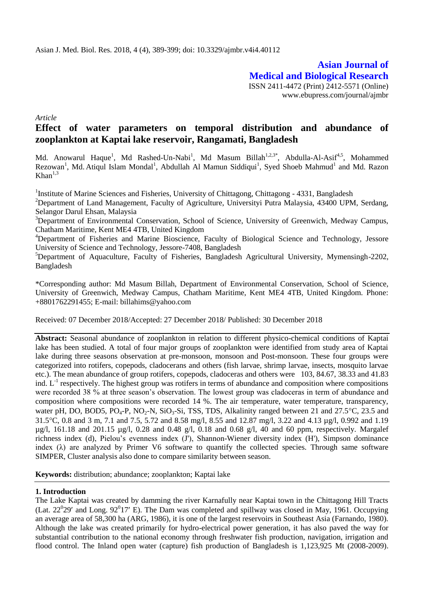**Asian Journal of Medical and Biological Research** ISSN 2411-4472 (Print) 2412-5571 (Online) www.ebupress.com/journal/ajmbr

*Article*

# **Effect of water parameters on temporal distribution and abundance of zooplankton at Kaptai lake reservoir, Rangamati, Bangladesh**

Md. Anowarul Haque<sup>1</sup>, Md Rashed-Un-Nabi<sup>1</sup>, Md Masum Billah<sup>1,2,3\*</sup>, Abdulla-Al-Asif<sup>4,5</sup>, Mohammed Rezowan<sup>1</sup>, Md. Atiqul Islam Mondal<sup>1</sup>, Abdullah Al Mamun Siddiqui<sup>1</sup>, Syed Shoeb Mahmud<sup>1</sup> and Md. Razon  $Khan<sup>1,3</sup>$ 

<sup>1</sup>Institute of Marine Sciences and Fisheries, University of Chittagong, Chittagong - 4331, Bangladesh

<sup>2</sup>Department of Land Management, Faculty of Agriculture, Universityi Putra Malaysia, 43400 UPM, Serdang, Selangor Darul Ehsan, Malaysia

<sup>3</sup>Department of Environmental Conservation, School of Science, University of Greenwich, Medway Campus, Chatham Maritime, Kent ME4 4TB, United Kingdom

<sup>4</sup>Department of Fisheries and Marine Bioscience, Faculty of Biological Science and Technology, Jessore University of Science and Technology, Jessore-7408, Bangladesh

<sup>5</sup>Department of Aquaculture, Faculty of Fisheries, Bangladesh Agricultural University, Mymensingh-2202, Bangladesh

\*Corresponding author: Md Masum Billah, Department of Environmental Conservation, School of Science, University of Greenwich, Medway Campus, Chatham Maritime, Kent ME4 4TB, United Kingdom. Phone: +8801762291455; E-mail: billahims@yahoo.com

Received: 07 December 2018/Accepted: 27 December 2018/ Published: 30 December 2018

**Abstract:** Seasonal abundance of zooplankton in relation to different physico-chemical conditions of Kaptai lake has been studied. A total of four major groups of zooplankton were identified from study area of Kaptai lake during three seasons observation at pre-monsoon, monsoon and Post-monsoon. These four groups were categorized into rotifers, copepods, cladocerans and others (fish larvae, shrimp larvae, insects, mosquito larvae etc.). The mean abundance of group rotifers, copepods, cladoceras and others were 103, 84.67, 38.33 and 41.83 ind. L<sup>-1</sup> respectively. The highest group was rotifers in terms of abundance and composition where compositions were recorded 38 % at three season's observation. The lowest group was cladoceras in term of abundance and composition where compositions were recorded 14 %. The air temperature, water temperature, transparency, water pH, DO, BOD5, PO<sub>4</sub>-P, NO<sub>2</sub>-N, SiO<sub>3</sub>-Si, TSS, TDS, Alkalinity ranged between 21 and 27.5<sup>o</sup>C, 23.5 and 31.5C, 0.8 and 3 m, 7.1 and 7.5, 5.72 and 8.58 mg/l, 8.55 and 12.87 mg/l, 3.22 and 4.13 µg/l, 0.992 and 1.19  $\mu$ g/l, 161.18 and 201.15  $\mu$ g/l, 0.28 and 0.48 g/l, 0.18 and 0.68 g/l, 40 and 60 ppm, respectively. Margalef richness index (d), Pielou's evenness index (J'), Shannon-Wiener diversity index (H'), Simpson dominance index  $(\lambda)$  are analyzed by Primer V6 software to quantify the collected species. Through same software SIMPER, Cluster analysis also done to compare similarity between season.

**Keywords:** distribution; abundance; zooplankton; Kaptai lake

### **1. Introduction**

The Lake Kaptai was created by damming the river Karnafully near Kaptai town in the Chittagong Hill Tracts (Lat.  $22^0$ 29' and Long.  $92^0$ 17' E). The Dam was completed and spillway was closed in May, 1961. Occupying an average area of 58,300 ha (ARG, 1986), it is one of the largest reservoirs in Southeast Asia (Farnando, 1980). Although the lake was created primarily for hydro-electrical power generation, it has also paved the way for substantial contribution to the national economy through freshwater fish production, navigation, irrigation and flood control. The Inland open water (capture) fish production of Bangladesh is 1,123,925 Mt (2008-2009).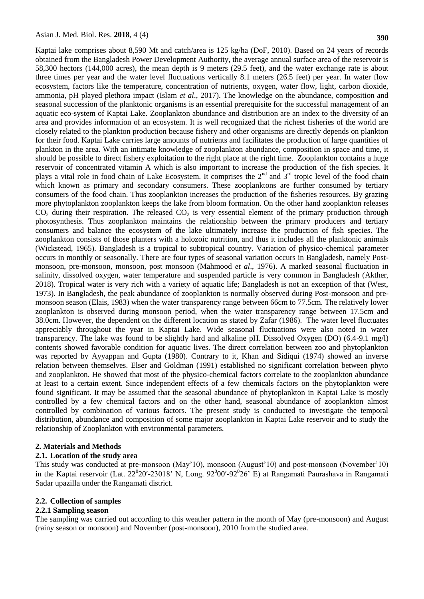Kaptai lake comprises about 8,590 Mt and catch/area is 125 kg/ha (DoF, 2010). Based on 24 years of records obtained from the Bangladesh Power Development Authority, the average annual surface area of the reservoir is 58,300 hectors (144,000 acres), the mean depth is 9 meters (29.5 feet), and the water exchange rate is about three times per year and the water level fluctuations vertically 8.1 meters (26.5 feet) per year. In water flow ecosystem, factors like the temperature, concentration of nutrients, oxygen, water flow, light, carbon dioxide, ammonia, pH played plethora impact (Islam *et al*., 2017). The knowledge on the abundance, composition and seasonal succession of the planktonic organisms is an essential prerequisite for the successful management of an aquatic eco-system of Kaptai Lake. Zooplankton abundance and distribution are an index to the diversity of an area and provides information of an ecosystem. It is well recognized that the richest fisheries of the world are closely related to the plankton production because fishery and other organisms are directly depends on plankton for their food. Kaptai Lake carries large amounts of nutrients and facilitates the production of large quantities of plankton in the area. With an intimate knowledge of zooplankton abundance, composition in space and time, it should be possible to direct fishery exploitation to the right place at the right time. Zooplankton contains a huge reservoir of concentrated vitamin A which is also important to increase the production of the fish species. It plays a vital role in food chain of Lake Ecosystem. It comprises the  $2^{nd}$  and  $3^{rd}$  tropic level of the food chain which known as primary and secondary consumers. These zooplanktons are further consumed by tertiary consumers of the food chain. Thus zooplankton increases the production of the fisheries resources. By grazing more phytoplankton zooplankton keeps the lake from bloom formation. On the other hand zooplankton releases  $CO<sub>2</sub>$  during their respiration. The released  $CO<sub>2</sub>$  is very essential element of the primary production through photosynthesis. Thus zooplankton maintains the relationship between the primary producers and tertiary consumers and balance the ecosystem of the lake ultimately increase the production of fish species. The zooplankton consists of those planters with a holozoic nutrition, and thus it includes all the planktonic animals (Wickstead, 1965). Bangladesh is a tropical to subtropical country. Variation of physico-chemical parameter occurs in monthly or seasonally. There are four types of seasonal variation occurs in Bangladesh, namely Postmonsoon, pre-monsoon, monsoon, post monsoon (Mahmood *et al*., 1976). A marked seasonal fluctuation in salinity, dissolved oxygen, water temperature and suspended particle is very common in Bangladesh (Akther, 2018). Tropical water is very rich with a variety of aquatic life; Bangladesh is not an exception of that (West, 1973). In Bangladesh, the peak abundance of zooplankton is normally observed during Post-monsoon and premonsoon season (Elais, 1983) when the water transparency range between 66cm to 77.5cm. The relatively lower zooplankton is observed during monsoon period, when the water transparency range between 17.5cm and 38.0cm. However, the dependent on the different location as stated by Zafar (1986). The water level fluctuates appreciably throughout the year in Kaptai Lake. Wide seasonal fluctuations were also noted in water transparency. The lake was found to be slightly hard and alkaline pH. Dissolved Oxygen (DO) (6.4-9.1 mg/l) contents showed favorable condition for aquatic lives. The direct correlation between zoo and phytoplankton was reported by Ayyappan and Gupta (1980). Contrary to it, Khan and Sidiqui (1974) showed an inverse relation between themselves. Elser and Goldman (1991) established no significant correlation between phyto and zooplankton. He showed that most of the physico-chemical factors correlate to the zooplankton abundance at least to a certain extent. Since independent effects of a few chemicals factors on the phytoplankton were found significant. It may be assumed that the seasonal abundance of phytoplankton in Kaptai Lake is mostly controlled by a few chemical factors and on the other hand, seasonal abundance of zooplankton almost controlled by combination of various factors. The present study is conducted to investigate the temporal distribution, abundance and composition of some major zooplankton in Kaptai Lake reservoir and to study the relationship of Zooplankton with environmental parameters.

#### **2. Materials and Methods**

#### **2.1. Location of the study area**

This study was conducted at pre-monsoon (May'10), monsoon (August'10) and post-monsoon (November'10) in the Kaptai reservoir (Lat. 22<sup>0</sup>20'-23018' N, Long. 92<sup>0</sup>00'-92<sup>0</sup>26' E) at Rangamati Paurashava in Rangamati Sadar upazilla under the Rangamati district.

#### **2.2. Collection of samples**

#### **2.2.1 Sampling season**

The sampling was carried out according to this weather pattern in the month of May (pre-monsoon) and August (rainy season or monsoon) and November (post-monsoon), 2010 from the studied area.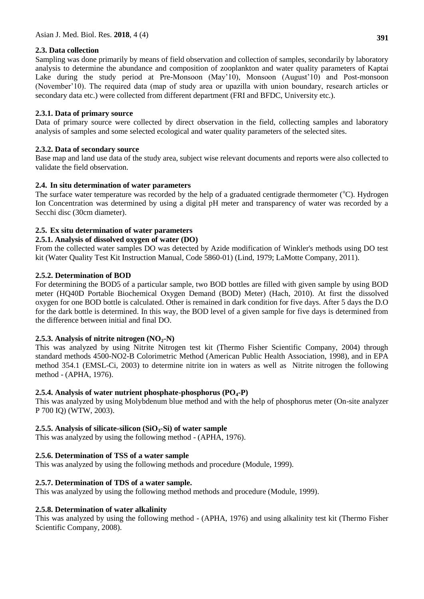# **2.3. Data collection**

Sampling was done primarily by means of field observation and collection of samples, secondarily by laboratory analysis to determine the abundance and composition of zooplankton and water quality parameters of Kaptai Lake during the study period at Pre-Monsoon (May'10), Monsoon (August'10) and Post-monsoon (November'10). The required data (map of study area or upazilla with union boundary, research articles or secondary data etc.) were collected from different department (FRI and BFDC, University etc.).

# **2.3.1. Data of primary source**

Data of primary source were collected by direct observation in the field, collecting samples and laboratory analysis of samples and some selected ecological and water quality parameters of the selected sites.

# **2.3.2. Data of secondary source**

Base map and land use data of the study area, subject wise relevant documents and reports were also collected to validate the field observation.

### **2.4. In situ determination of water parameters**

The surface water temperature was recorded by the help of a graduated centigrade thermometer  $(°C)$ . Hydrogen Ion Concentration was determined by using a digital pH meter and transparency of water was recorded by a Secchi disc (30cm diameter).

# **2.5. Ex situ determination of water parameters**

### **2.5.1. Analysis of dissolved oxygen of water (DO)**

From the collected water samples DO was detected by Azide modification of Winkler's methods using DO test kit (Water Quality Test Kit Instruction Manual, Code 5860-01) (Lind, 1979; LaMotte Company, 2011).

### **2.5.2. Determination of BOD**

For determining the BOD5 of a particular sample, two BOD bottles are filled with given sample by using BOD meter (HQ40D Portable Biochemical Oxygen Demand (BOD) Meter) (Hach, 2010). At first the dissolved oxygen for one BOD bottle is calculated. Other is remained in dark condition for five days. After 5 days the D.O for the dark bottle is determined. In this way, the BOD level of a given sample for five days is determined from the difference between initial and final DO.

### 2.5.3. Analysis of nitrite nitrogen  $(NO<sub>2</sub>–N)$

This was analyzed by using Nitrite Nitrogen test kit (Thermo Fisher Scientific Company, 2004) through standard methods 4500-NO2-B Colorimetric Method (American Public Health Association, 1998), and in EPA method 354.1 (EMSL-Ci, 2003) to determine nitrite ion in waters as well as Nitrite nitrogen the following method - (APHA, 1976).

### **2.5.4. Analysis of water nutrient phosphate-phosphorus (PO4-P)**

This was analyzed by using Molybdenum blue method and with the help of phosphorus meter (On-site analyzer P 700 IQ) (WTW, 2003).

# **2.5.5. Analysis of silicate-silicon (SiO3-Si) of water sample**

This was analyzed by using the following method - (APHA, 1976).

# **2.5.6. Determination of TSS of a water sample**

This was analyzed by using the following methods and procedure (Module, 1999).

# **2.5.7. Determination of TDS of a water sample.**

This was analyzed by using the following method methods and procedure (Module, 1999).

# **2.5.8. Determination of water alkalinity**

This was analyzed by using the following method - (APHA, 1976) and using alkalinity test kit (Thermo Fisher Scientific Company, 2008).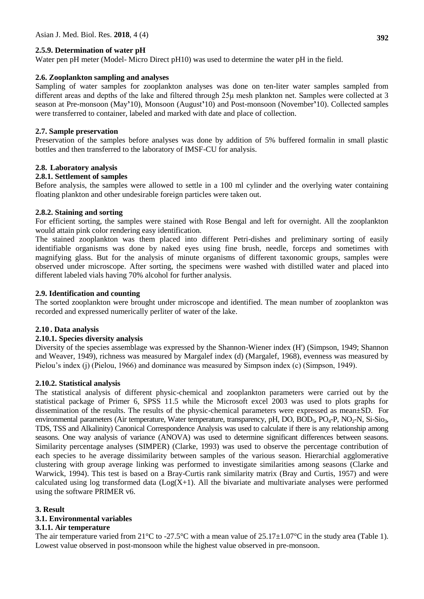### **2.5.9. Determination of water pH**

Water pen pH meter (Model- Micro Direct pH10) was used to determine the water pH in the field.

### **2.6. Zooplankton sampling and analyses**

Sampling of water samples for zooplankton analyses was done on ten-liter water samples sampled from different areas and depths of the lake and filtered through 25μ mesh plankton net. Samples were collected at 3 season at Pre-monsoon (May**'**10), Monsoon (August**'**10) and Post-monsoon (November**'**10). Collected samples were transferred to container, labeled and marked with date and place of collection.

#### **2.7. Sample preservation**

Preservation of the samples before analyses was done by addition of 5% buffered formalin in small plastic bottles and then transferred to the laboratory of IMSF-CU for analysis.

#### **2.8. Laboratory analysis**

#### **2.8.1. Settlement of samples**

Before analysis, the samples were allowed to settle in a 100 ml cylinder and the overlying water containing floating plankton and other undesirable foreign particles were taken out.

#### **2.8.2. Staining and sorting**

For efficient sorting, the samples were stained with Rose Bengal and left for overnight. All the zooplankton would attain pink color rendering easy identification.

The stained zooplankton was them placed into different Petri-dishes and preliminary sorting of easily identifiable organisms was done by naked eyes using fine brush, needle, forceps and sometimes with magnifying glass. But for the analysis of minute organisms of different taxonomic groups, samples were observed under microscope. After sorting, the specimens were washed with distilled water and placed into different labeled vials having 70% alcohol for further analysis.

#### **2.9. Identification and counting**

The sorted zooplankton were brought under microscope and identified. The mean number of zooplankton was recorded and expressed numerically perliter of water of the lake.

### **2.10 . Data analysis**

#### **2.10.1. Species diversity analysis**

Diversity of the species assemblage was expressed by the Shannon-Wiener index (H') (Simpson, 1949; Shannon and Weaver, 1949), richness was measured by Margalef index (d) (Margalef, 1968), evenness was measured by Pielou's index (j) (Pielou, 1966) and dominance was measured by Simpson index (c) (Simpson, 1949).

#### **2.10.2. Statistical analysis**

The statistical analysis of different physic-chemical and zooplankton parameters were carried out by the statistical package of Primer 6, SPSS 11.5 while the Microsoft excel 2003 was used to plots graphs for dissemination of the results. The results of the physic-chemical parameters were expressed as mean±SD. For environmental parameters (Air temperature, Water temperature, transparency, pH, DO, BOD<sub>5</sub>, PO<sub>4</sub>-P, NO<sub>2</sub>-N, Si-Sio<sub>3</sub>, TDS, TSS and Alkalinity) Canonical Correspondence Analysis was used to calculate if there is any relationship among seasons. One way analysis of variance (ANOVA) was used to determine significant differences between seasons. Similarity percentage analyses (SIMPER) (Clarke, 1993) was used to observe the percentage contribution of each species to he average dissimilarity between samples of the various season. Hierarchial agglomerative clustering with group average linking was performed to investigate similarities among seasons (Clarke and Warwick, 1994). This test is based on a Bray-Curtis rank similarity matrix (Bray and Curtis, 1957) and were calculated using log transformed data  $(Log(X+1))$ . All the bivariate and multivariate analyses were performed using the software PRIMER v6.

#### **3. Result**

### **3.1. Environmental variables**

#### **3.1.1. Air temperature**

The air temperature varied from  $21^{\circ}$ C to -27.5°C with a mean value of  $25.17\pm1.07^{\circ}$ C in the study area (Table 1). Lowest value observed in post-monsoon while the highest value observed in pre-monsoon.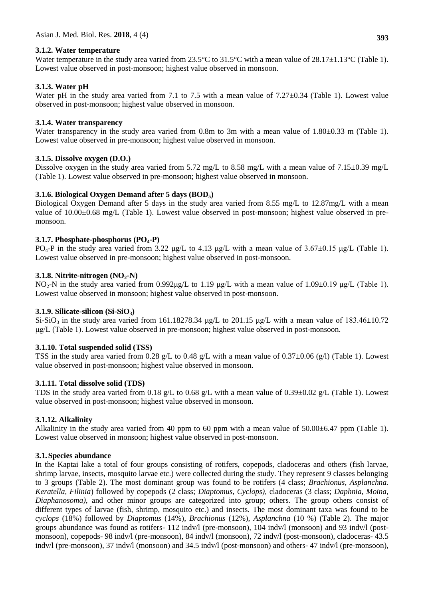### **3.1.2. Water temperature**

Water temperature in the study area varied from 23.5°C to 31.5°C with a mean value of 28.17 $\pm$ 1.13°C (Table 1). Lowest value observed in post-monsoon; highest value observed in monsoon.

# **3.1.3. Water pH**

Water pH in the study area varied from 7.1 to 7.5 with a mean value of 7.27 $\pm$ 0.34 (Table 1). Lowest value observed in post-monsoon; highest value observed in monsoon.

### **3.1.4. Water transparency**

Water transparency in the study area varied from 0.8m to 3m with a mean value of 1.80 $\pm$ 0.33 m (Table 1). Lowest value observed in pre-monsoon; highest value observed in monsoon.

### **3.1.5. Dissolve oxygen (D.O.)**

Dissolve oxygen in the study area varied from 5.72 mg/L to 8.58 mg/L with a mean value of 7.15±0.39 mg/L (Table 1). Lowest value observed in pre-monsoon; highest value observed in monsoon.

### **3.1.6. Biological Oxygen Demand after 5 days (BOD5)**

Biological Oxygen Demand after 5 days in the study area varied from 8.55 mg/L to 12.87mg/L with a mean value of 10.00±0.68 mg/L (Table 1). Lowest value observed in post-monsoon; highest value observed in premonsoon.

### **3.1.7. Phosphate-phosphorus (PO4-P)**

PO<sub>4</sub>-P in the study area varied from 3.22 μg/L to 4.13 μg/L with a mean value of 3.67 $\pm$ 0.15 μg/L (Table 1). Lowest value observed in pre-monsoon; highest value observed in post-monsoon.

### **3.1.8. Nitrite-nitrogen (NO2-N)**

NO2-N in the study area varied from 0.992μg/L to 1.19 μg/L with a mean value of 1.09±0.19 μg/L (Table 1). Lowest value observed in monsoon; highest value observed in post-monsoon.

### **3.1.9. Silicate-silicon (Si-SiO3)**

Si-SiO<sub>3</sub> in the study area varied from 161.18278.34 μg/L to 201.15 μg/L with a mean value of 183.46 $\pm$ 10.72 μg/L (Table 1). Lowest value observed in pre-monsoon; highest value observed in post-monsoon.

### **3.1.10. Total suspended solid (TSS)**

TSS in the study area varied from 0.28 g/L to 0.48 g/L with a mean value of 0.37±0.06 (g/l) (Table 1). Lowest value observed in post-monsoon; highest value observed in monsoon.

### **3.1.11. Total dissolve solid (TDS)**

TDS in the study area varied from 0.18 g/L to 0.68 g/L with a mean value of 0.39±0.02 g/L (Table 1). Lowest value observed in post-monsoon; highest value observed in monsoon.

### **3.1.12. Alkalinity**

Alkalinity in the study area varied from 40 ppm to 60 ppm with a mean value of  $50.00\pm6.47$  ppm (Table 1). Lowest value observed in monsoon; highest value observed in post-monsoon.

### **3.1.Species abundance**

In the Kaptai lake a total of four groups consisting of rotifers, copepods, cladoceras and others (fish larvae, shrimp larvae, insects, mosquito larvae etc.) were collected during the study. They represent 9 classes belonging to 3 groups (Table 2). The most dominant group was found to be rotifers (4 class; *Brachionus, Asplanchna. Keratella, Filinia*) followed by copepods (2 class; *Diaptomus, Cyclops),* cladoceras (3 class; *Daphnia, Moina, Diaphanosoma)*, and other minor groups are categorized into group; others. The group others consist of different types of larvae (fish, shrimp, mosquito etc.) and insects. The most dominant taxa was found to be *cyclops* (18%) followed by *Diaptomus* (14%), *Brachionus* (12%), *Asplanchna* (10 %) (Table 2). The major groups abundance was found as rotifers- 112 indv/l (pre-monsoon), 104 indv/l (monsoon) and 93 indv/l (postmonsoon), copepods- 98 indv/l (pre-monsoon), 84 indv/l (monsoon), 72 indv/l (post-monsoon), cladoceras- 43.5 indv/l (pre-monsoon), 37 indv/l (monsoon) and 34.5 indv/l (post-monsoon) and others- 47 indv/l (pre-monsoon),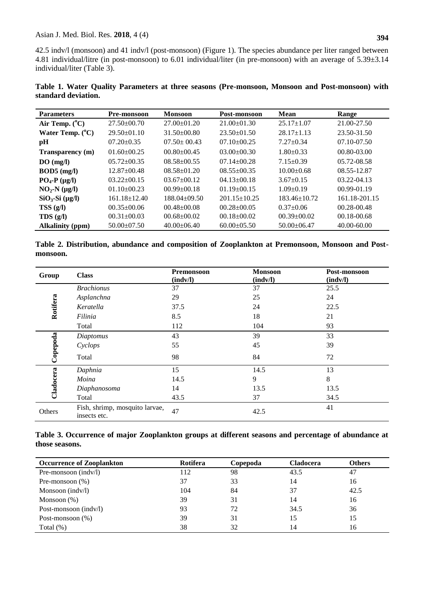42.5 indv/l (monsoon) and 41 indv/l (post-monsoon) (Figure 1). The species abundance per liter ranged between 4.81 individual/litre (in post-monsoon) to 6.01 individual/liter (in pre-monsoon) with an average of 5.39±3.14 individual/liter (Table 3).

|                     |  |  | Table 1. Water Quality Parameters at three seasons (Pre-monsoon, Monsoon and Post-monsoon) with |  |  |
|---------------------|--|--|-------------------------------------------------------------------------------------------------|--|--|
| standard deviation. |  |  |                                                                                                 |  |  |

| <b>Parameters</b>         | <b>Pre-monsoon</b> | <b>Monsoon</b>     | Post-monsoon       | <b>Mean</b>        | Range           |
|---------------------------|--------------------|--------------------|--------------------|--------------------|-----------------|
| Air Temp. $(^{\circ}C)$   | $27.50 \pm 00.70$  | $27.00 \pm 01.20$  | $21.00 \pm 01.30$  | $25.17 \pm 1.07$   | 21.00-27.50     |
| Water Temp. $(^{\circ}C)$ | $29.50 \pm 01.10$  | $31.50 \pm 00.80$  | $23.50 \pm 01.50$  | $28.17 \pm 1.13$   | 23.50-31.50     |
| рH                        | $07.20 \pm 0.35$   | $07.50 \pm 00.43$  | $07.10 \pm 00.25$  | $7.27 \pm 0.34$    | $07.10 - 07.50$ |
| Transparency (m)          | $01.60 \pm 00.25$  | $00.80 \pm 00.45$  | $03.00 \pm 00.30$  | $1.80 \pm 0.33$    | $00.80 - 03.00$ |
| DO(mg/l)                  | $05.72 \pm 00.35$  | $08.58 \pm 00.55$  | $07.14 \pm 00.28$  | $7.15 \pm 0.39$    | 05.72-08.58     |
| $BOD5$ (mg/l)             | $12.87 \pm 00.48$  | $08.58 \pm 01.20$  | $08.55+00.35$      | $10.00 \pm 0.68$   | 08.55-12.87     |
| $PO_4$ - $P$ ( $\mu$ g/l) | $03.22 \pm 00.15$  | $03.67 \pm 00.12$  | $04.13 \pm 00.18$  | $3.67+0.15$        | $03.22 - 04.13$ |
| $NO2-N$ ( $\mu$ g/l)      | $01.10 \pm 00.23$  | $00.99 \pm 00.18$  | $01.19 \pm 00.15$  | $1.09 \pm 0.19$    | $00.99 - 01.19$ |
| $SiO_3-Si$ ( $\mu$ g/l)   | $161.18 \pm 12.40$ | $188.04 \pm 09.50$ | $201.15 \pm 10.25$ | $183.46 \pm 10.72$ | 161.18-201.15   |
| TSS(g/l)                  | $00.35 \pm 00.06$  | $00.48 \pm 00.08$  | $00.28 \pm 00.05$  | $0.37+0.06$        | $00.28 - 00.48$ |
| TDS(g/l)                  | $00.31 \pm 00.03$  | $00.68 \pm 00.02$  | $00.18 \pm 00.02$  | $00.39 \pm 00.02$  | 00.18-00.68     |
| <b>Alkalinity (ppm)</b>   | $50.00 \pm 07.50$  | $40.00 \pm 06.40$  | $60.00 \pm 05.50$  | $50.00 \pm 06.47$  | 40.00-60.00     |

**Table 2. Distribution, abundance and composition of Zooplankton at Premonsoon, Monsoon and Postmonsoon.**

| Group     | <b>Class</b>                                   | <b>Premonsoon</b><br>$(\text{indv/l})$ | <b>Monsoon</b><br>(indv/l) | Post-monsoon<br>(indv/l) |
|-----------|------------------------------------------------|----------------------------------------|----------------------------|--------------------------|
|           | <b>Brachionus</b>                              | 37                                     | 37                         | 25.5                     |
|           | Asplanchna                                     | 29                                     | 25                         | 24                       |
| Rotifera  | Keratella                                      | 37.5                                   | 24                         | 22.5                     |
|           | Filinia                                        | 8.5                                    | 18                         | 21                       |
|           | Total                                          | 112                                    | 104                        | 93                       |
|           | Diaptomus                                      | 43                                     | 39                         | 33                       |
| Copepoda  | Cyclops                                        | 55                                     | 45                         | 39                       |
|           | Total                                          | 98                                     | 84                         | 72                       |
|           | Daphnia                                        | 15                                     | 14.5                       | 13                       |
| Cladocera | Moina                                          | 14.5                                   | 9                          | $8\,$                    |
|           | Diaphanosoma                                   | 14                                     | 13.5                       | 13.5                     |
|           | Total                                          | 43.5                                   | 37                         | 34.5                     |
| Others    | Fish, shrimp, mosquito larvae,<br>insects etc. | 47                                     | 42.5                       | 41                       |

**Table 3. Occurrence of major Zooplankton groups at different seasons and percentage of abundance at those seasons.** 

| <b>Occurrence of Zooplankton</b> | <b>Rotifera</b> | Copepoda | <b>Cladocera</b> | <b>Others</b> |
|----------------------------------|-----------------|----------|------------------|---------------|
| Pre-monsoon $(\text{ind}v/l)$    | 112             | 98       | 43.5             | 47            |
| Pre-monsoon $(\%)$               | 37              | 33       | 14               | 16            |
| Monsoon $(\text{ind}v/l)$        | 104             | 84       | 37               | 42.5          |
| Monsoon $(\%)$                   | 39              | 31       | 14               | 16            |
| Post-monsoon $(\text{ind}v/l)$   | 93              | 72       | 34.5             | 36            |
| Post-monsoon $(\%)$              | 39              | 31       | 15               | 15            |
| Total $(\%)$                     | 38              | 32       | 14               | 16            |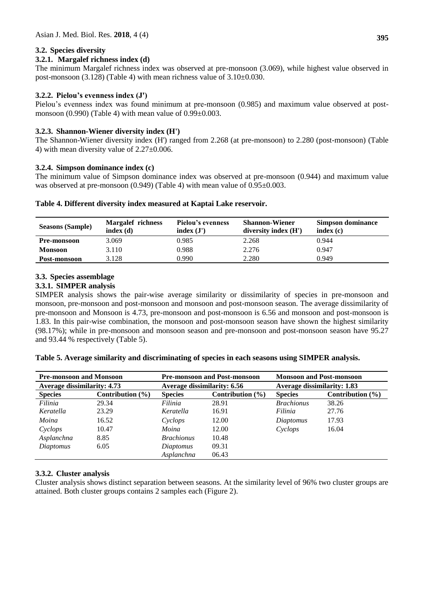### **3.2. Species diversity**

### **3.2.1. Margalef richness index (d)**

The minimum Margalef richness index was observed at pre-monsoon (3.069), while highest value observed in post-monsoon (3.128) (Table 4) with mean richness value of 3.10±0.030.

### **3.2.2. Pielou's evenness index (J')**

Pielou's evenness index was found minimum at pre-monsoon (0.985) and maximum value observed at postmonsoon (0.990) (Table 4) with mean value of  $0.99\pm0.003$ .

### **3.2.3. Shannon-Wiener diversity index (H')**

The Shannon-Wiener diversity index (H') ranged from 2.268 (at pre-monsoon) to 2.280 (post-monsoon) (Table 4) with mean diversity value of  $2.27 \pm 0.006$ .

### **3.2.4. Simpson dominance index (c)**

The minimum value of Simpson dominance index was observed at pre-monsoon (0.944) and maximum value was observed at pre-monsoon  $(0.949)$  (Table 4) with mean value of  $0.95\pm0.003$ .

### **Table 4. Different diversity index measured at Kaptai Lake reservoir.**

| <b>Seasons (Sample)</b> | <b>Margalef richness</b><br>index(d) | Pielou's evenness<br>index(J') | <b>Shannon-Wiener</b><br>diversity index $(H')$ | <b>Simpson dominance</b><br>index(c) |
|-------------------------|--------------------------------------|--------------------------------|-------------------------------------------------|--------------------------------------|
| <b>Pre-monsoon</b>      | 3.069                                | 0.985                          | 2.268                                           | 0.944                                |
| <b>Monsoon</b>          | 3.110                                | 0.988                          | 2.276                                           | 0.947                                |
| Post-monsoon            | 3.128                                | 0.990                          | 2.280                                           | 0.949                                |

### **3.3. Species assemblage**

### **3.3.1. SIMPER analysis**

SIMPER analysis shows the pair-wise average similarity or dissimilarity of species in pre-monsoon and monsoon, pre-monsoon and post-monsoon and monsoon and post-monsoon season. The average dissimilarity of pre-monsoon and Monsoon is 4.73, pre-monsoon and post-monsoon is 6.56 and monsoon and post-monsoon is 1.83. In this pair-wise combination, the monsoon and post-monsoon season have shown the highest similarity (98.17%); while in pre-monsoon and monsoon season and pre-monsoon and post-monsoon season have 95.27 and 93.44 % respectively (Table 5).

**Table 5. Average similarity and discriminating of species in each seasons using SIMPER analysis.**

| <b>Pre-monsoon and Monsoon</b>     |                      |                                    | <b>Pre-monsoon and Post-monsoon</b> | <b>Monsoon and Post-monsoon</b>    |                      |  |
|------------------------------------|----------------------|------------------------------------|-------------------------------------|------------------------------------|----------------------|--|
| <b>Average dissimilarity: 4.73</b> |                      | <b>Average dissimilarity: 6.56</b> |                                     | <b>Average dissimilarity: 1.83</b> |                      |  |
| <b>Species</b>                     | Contribution $(\% )$ | <b>Species</b>                     | Contribution $(\% )$                | <b>Species</b>                     | Contribution $(\% )$ |  |
| Filinia                            | 29.34                | Filinia                            | 28.91                               | <b>Brachionus</b>                  | 38.26                |  |
| Keratella                          | 23.29                | Keratella                          | 16.91                               | Filinia                            | 27.76                |  |
| Moina                              | 16.52                | Cyclops                            | 12.00                               | Diaptomus                          | 17.93                |  |
| Cyclops                            | 10.47                | Moina                              | 12.00                               | Cyclops                            | 16.04                |  |
| Asplanchna                         | 8.85                 | <b>Brachionus</b>                  | 10.48                               |                                    |                      |  |
| Diaptomus                          | 6.05                 | Diaptomus                          | 09.31                               |                                    |                      |  |
|                                    |                      | Asplanchna                         | 06.43                               |                                    |                      |  |

### **3.3.2. Cluster analysis**

Cluster analysis shows distinct separation between seasons. At the similarity level of 96% two cluster groups are attained. Both cluster groups contains 2 samples each (Figure 2).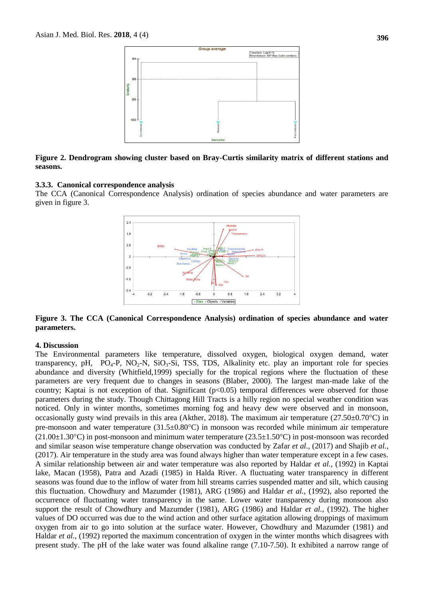

#### **Figure 2. Dendrogram showing cluster based on Bray-Curtis similarity matrix of different stations and seasons.**

#### **3.3.3. Canonical correspondence analysis**

The CCA (Canonical Correspondence Analysis) ordination of species abundance and water parameters are given in figure 3.



**Figure 3. The CCA (Canonical Correspondence Analysis) ordination of species abundance and water parameters.**

#### **4. Discussion**

The Environmental parameters like temperature, dissolved oxygen, biological oxygen demand, water transparency, pH,  $PQ_4-P$ ,  $NO_2-N$ ,  $SiO_3-Si$ , TSS, TDS, Alkalinity etc. play an important role for species abundance and diversity (Whitfield,1999) specially for the tropical regions where the fluctuation of these parameters are very frequent due to changes in seasons (Blaber, 2000). The largest man-made lake of the country; Kaptai is not exception of that. Significant  $(p<0.05)$  temporal differences were observed for those parameters during the study. Though Chittagong Hill Tracts is a hilly region no special weather condition was noticed. Only in winter months, sometimes morning fog and heavy dew were observed and in monsoon, occasionally gusty wind prevails in this area (Akther, 2018). The maximum air temperature ( $27.50\pm0.70^{\circ}$ C) in pre-monsoon and water temperature  $(31.5\pm0.80^{\circ}\text{C})$  in monsoon was recorded while minimum air temperature  $(21.00\pm1.30^{\circ}\text{C})$  in post-monsoon and minimum water temperature  $(23.5\pm1.50^{\circ}\text{C})$  in post-monsoon was recorded and similar season wise temperature change observation was conducted by Zafar *et al.,* (2017) and Shajib *et al.*, (2017). Air temperature in the study area was found always higher than water temperature except in a few cases. A similar relationship between air and water temperature was also reported by Haldar *et al.,* (1992) in Kaptai lake, Macan (1958), Patra and Azadi (1985) in Halda River. A fluctuating water transparency in different seasons was found due to the inflow of water from hill streams carries suspended matter and silt, which causing this fluctuation. Chowdhury and Mazumder (1981), ARG (1986) and Haldar *et al.,* (1992), also reported the occurrence of fluctuating water transparency in the same. Lower water transparency during monsoon also support the result of Chowdhury and Mazumder (1981), ARG (1986) and Haldar *et al.,* (1992). The higher values of DO occurred was due to the wind action and other surface agitation allowing droppings of maximum oxygen from air to go into solution at the surface water. However, Chowdhury and Mazumder (1981) and Haldar *et al.*, (1992) reported the maximum concentration of oxygen in the winter months which disagrees with present study. The pH of the lake water was found alkaline range (7.10-7.50). It exhibited a narrow range of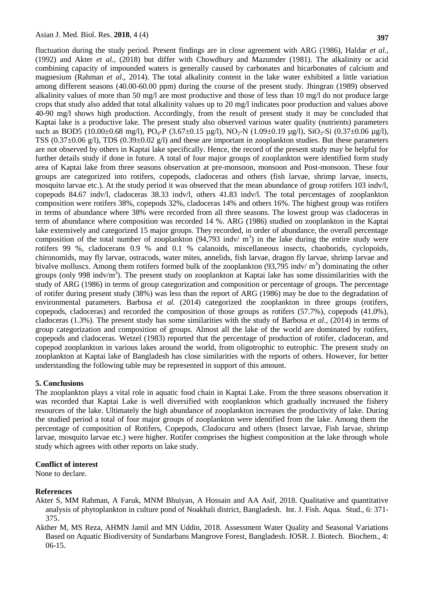fluctuation during the study period. Present findings are in close agreement with ARG (1986), Haldar *et al.,* (1992) and Akter *et al.,* (2018) but differ with Chowdhury and Mazumder (1981). The alkalinity or acid combining capacity of impounded waters is generally caused by carbonates and bicarbonates of calcium and magnesium (Rahman *et al*., 2014). The total alkalinity content in the lake water exhibited a little variation among different seasons (40.00-60.00 ppm) during the course of the present study. Jhingran (1989) observed alkalinity values of more than 50 mg/l are most productive and those of less than 10 mg/l do not produce large crops that study also added that total alkalinity values up to 20 mg/l indicates poor production and values above 40-90 mg/l shows high production. Accordingly, from the result of present study it may be concluded that Kaptai lake is a productive lake. The present study also observed various water quality (nutrients) parameters such as BOD5 (10.00±0.68 mg/l), PO<sub>4</sub>-P (3.67±0.15 µg/l), NO<sub>2</sub>-N (1.09±0.19 µg/l), SiO<sub>3</sub>-Si (0.37±0.06 µg/l), TSS ( $0.37\pm0.06$  g/l), TDS ( $0.39\pm0.02$  g/l) and these are important in zooplankton studies. But these parameters are not observed by others in Kaptai lake specifically. Hence, the record of the present study may be helpful for further details study if done in future. A total of four major groups of zooplankton were identified form study area of Kaptai lake from three seasons observation at pre-monsoon, monsoon and Post-monsoon. These four groups are categorized into rotifers, copepods, cladoceras and others (fish larvae, shrimp larvae, insects, mosquito larvae etc.). At the study period it was observed that the mean abundance of group rotifers 103 indv/l, copepods 84.67 indv/l, cladoceras 38.33 indv/l, others 41.83 indv/l. The total percentages of zooplankton composition were rotifers 38%, copepods 32%, cladoceras 14% and others 16%. The highest group was rotifers in terms of abundance where 38% were recorded from all three seasons. The lowest group was cladoceras in term of abundance where composition was recorded 14 %. ARG (1986) studied on zooplankton in the Kaptai lake extensively and categorized 15 major groups. They recorded, in order of abundance, the overall percentage composition of the total number of zooplankton  $(94,793 \text{ induv/m}^3)$  in the lake during the entire study were rotifers 99 %, cladocerans 0.9 % and 0.1 % calanoids, miscellaneous insects, chaoborids, cyclopoids, chironomids, may fly larvae, ostracods, water mites, annelids, fish larvae, dragon fly larvae, shrimp larvae and bivalve molluscs. Among them rotifers formed bulk of the zooplankton  $(93,795 \text{ indv}/\text{m}^3)$  dominating the other groups (only 998 indv/ $\text{m}^3$ ). The present study on zooplankton at Kaptai lake has some dissimilarities with the study of ARG (1986) in terms of group categorization and composition or percentage of groups. The percentage of rotifer during present study (38%) was less than the report of ARG (1986) may be due to the degradation of environmental parameters. Barbosa *et al.* (2014) categorized the zooplankton in three groups (rotifers, copepods, cladoceras) and recorded the composition of those groups as rotifers (57.7%), copepods (41.0%), cladoceras (1.3%). The present study has some similarities with the study of Barbosa *et al.,* (2014) in terms of group categorization and composition of groups. Almost all the lake of the world are dominated by rotifers, copepods and cladoceras. [Wetzel \(1983\)](http://lakes.chebucto.org/referenc.html#wetzel1983) reported that the percentage of production of rotifer, cladoceran, and copepod zooplankton in various lakes around the world, from oligotrophic to eutrophic. The present study on zooplankton at Kaptai lake of Bangladesh has close similarities with the reports of others. However, for better understanding the following table may be represented in support of this amount.

#### **5. Conclusions**

The zooplankton plays a vital role in aquatic food chain in Kaptai Lake. From the three seasons observation it was recorded that Kaptai Lake is well diversified with zooplankton which gradually increased the fishery resources of the lake. Ultimately the high abundance of zooplankton increases the productivity of lake. During the studied period a total of four major groups of zooplankton were identified from the lake. Among them the percentage of composition of Rotifers, Copepods, *Cladocara* and others (Insect larvae, Fish larvae, shrimp larvae, mosquito larvae etc.) were higher. Rotifer comprises the highest composition at the lake through whole study which agrees with other reports on lake study.

#### **Conflict of interest**

None to declare.

### **References**

- Akter S, MM Rahman, A Faruk, MNM Bhuiyan, A Hossain and AA Asif, 2018. Qualitative and quantitative analysis of phytoplankton in culture pond of Noakhali district, Bangladesh. Int. J. Fish. Aqua. Stud., 6: 371- 375.
- Akther M, MS Reza, AHMN Jamil and MN Uddin, 2018. Assessment Water Quality and Seasonal Variations Based on Aquatic Biodiversity of Sundarbans Mangrove Forest, Bangladesh. IOSR. J. Biotech. Biochem., 4: 06-15.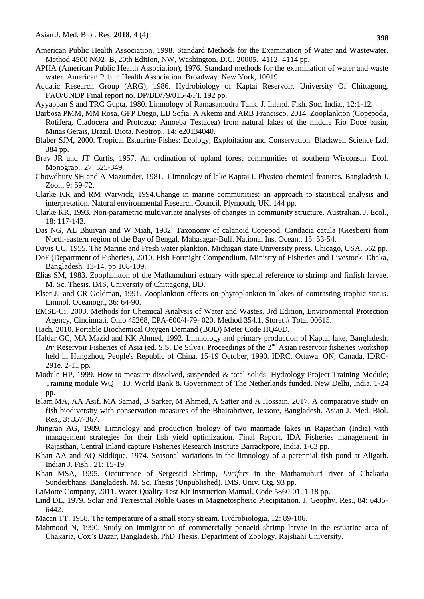- American Public Health Association, 1998. Standard Methods for the Examination of Water and Wastewater. Method 4500 NO2- B, 20th Edition, NW, Washington, D.C. 20005. 4112- 4114 pp.
- APHA (American Public Health Association), 1976. Standard methods for the examination of water and waste water. American Public Health Association. Broadway. New York, 10019.
- Aquatic Research Group (ARG), 1986. Hydrobiology of Kaptai Reservoir. University Of Chittagong, FAO/UNDP Final report no. DP/BD/79/015-4/FI. 192 pp.
- Ayyappan S and TRC Gupta, 1980. Limnology of Ramasamudra Tank. J. Inland. Fish. Soc. India., 12:1-12.
- Barbosa PMM, MM Rosa, GFP Diego, LB Sofia, A Akemi and ARB Francisco, 2014. Zooplankton (Copepoda, Rotifera, Cladocera and Protozoa: Amoeba Testacea) from natural lakes of the middle Rio Doce basin, Minas Gerais, Brazil. Biota. Neotrop., 14: e20134040.
- Blaber SJM, 2000. Tropical Estuarine Fishes: Ecology, Exploitation and Conservation. Blackwell Science Ltd. 384 pp.
- Bray JR and JT Curtis, 1957. An ordination of upland forest communities of southern Wisconsin. Ecol. Monograp., 27: 325-349.
- Chowdhury SH and A Mazumder, 1981. Limnology of lake Kaptai I. Physico-chemical features. Bangladesh J. Zool., 9: 59-72.
- Clarke KR and RM Warwick, 1994.Change in marine communities: an approach to statistical analysis and interpretation. Natural environmental Research Council, Plymouth, UK. 144 pp.
- Clarke KR, 1993. Non-parametric multivariate analyses of changes in community structure. Australian. J. Ecol., 18: 117-143.
- Das NG, AL Bhuiyan and W Miah, 1982. Taxonomy of calanoid Copepod, Candacia catula (Giesbert) from North-eastern region of the Bay of Bengal. Mahasagar-Bull. National Ins. Ocean., 15: 53-54.
- Davis CC, 1955. The Marine and Fresh water plankton. Michigan state University press. Chicago, USA. 562 pp.
- DoF (Department of Fisheries), 2010. Fish Fortnight Compendium. Ministry of Fisheries and Livestock. Dhaka, Bangladesh. 13-14. pp.108-109.
- Elias SM, 1983. Zooplankton of the Mathamuhuri estuary with special reference to shrimp and finfish larvae. M. Sc. Thesis. IMS, University of Chittagong, BD.
- Elser JJ and CR Goldman, 1991. Zooplankton effects on phytoplankton in lakes of contrasting trophic status. Limnol. Oceanogr., 36: 64-90.
- EMSL-Ci, 2003. Methods for Chemical Analysis of Water and Wastes. 3rd Edition, Environmental Protection Agency, Cincinnati, Ohio 45268, EPA-600/4-79- 020, Method 354.1, Storet # Total 00615.
- Hach, 2010. Portable Biochemical Oxygen Demand (BOD) Meter Code HQ40D.
- Haldar GC, MA Mazid and KK Ahmed, 1992. Limnology and primary production of Kaptai lake, Bangladesh. *In:* Reservoir Fisheries of Asia (ed. S.S. De Silva). Proceedings of the 2<sup>nd</sup> Asian reservoir fisheries workshop held in Hangzhou, People's Republic of China, 15-19 October, 1990. IDRC, Ottawa. ON, Canada. IDRC-291e. 2-11 pp.
- Module HP, 1999. How to measure dissolved, suspended & total solids: Hydrology Project Training Module; Training module WQ – 10. World Bank & Government of The Netherlands funded. New Delhi, India. 1-24 pp.
- Islam MA, AA Asif, MA Samad, B Sarker, M Ahmed, A Satter and A Hossain, 2017. A comparative study on fish biodiversity with conservation measures of the Bhairabriver, Jessore, Bangladesh. Asian J. Med. Biol. Res., 3: 357-367.
- Jhingran AG, 1989. Limnology and production biology of two manmade lakes in Rajasthan (India) with management strategies for their fish yield optimization. Final Report, IDA Fisheries management in Rajasthan, Central Inland capture Fisheries Research Institute Barrackpore, India. 1-63 pp.
- Khan AA and AQ Siddique, 1974. Seasonal variations in the limnology of a perennial fish pond at Aligarh. Indian J. Fish., 21: 15-19.
- Khan MSA, 1995. Occurrence of Sergestid Shrimp, *Lucifers* in the Mathamuhuri river of Chakaria Sunderbhans, Bangladesh. M. Sc. Thesis (Unpublished). IMS. Univ. Ctg. 93 pp.
- LaMotte Company, 2011. Water Quality Test Kit Instruction Manual, Code 5860-01. 1-18 pp.
- Lind DL, 1979. Solar and Terrestrial Noble Gases in Magnetospheric Precipitation. J. Geophy. Res., 84: 6435- 6442.
- Macan TT, 1958. The temperature of a small stony stream. Hydrobiologia, 12: 89-106.
- Mahmood N, 1990. Study on immigration of commercially penaeid shrimp larvae in the estuarine area of Chakaria, Cox's Bazar, Bangladesh. PhD Thesis. Department of Zoology. Rajshahi University.